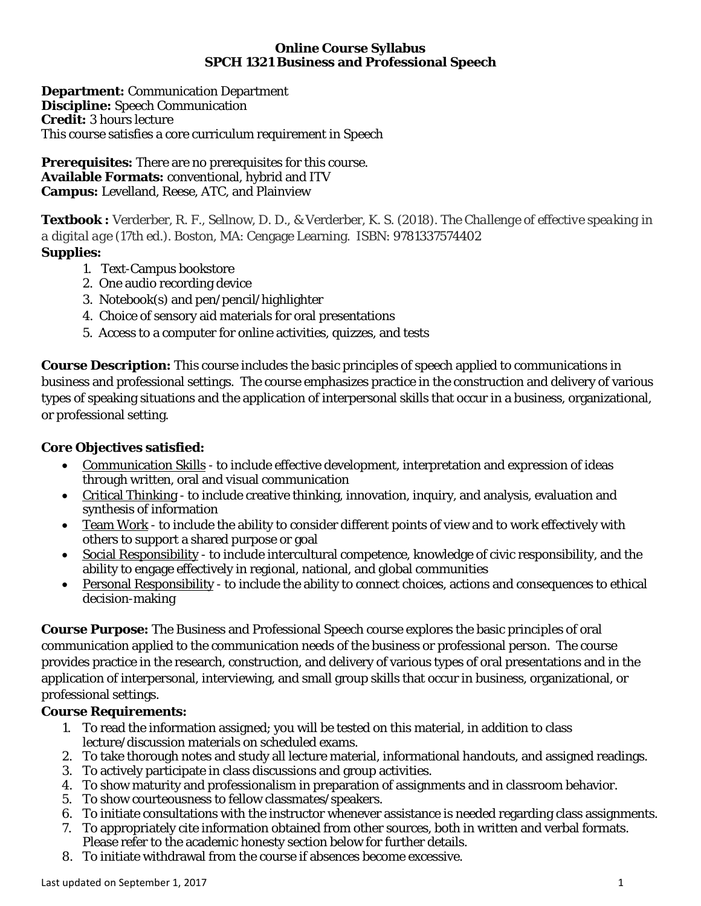#### **Online Course Syllabus SPCH 1321 Business and Professional Speech**

**Department:** Communication Department **Discipline:** Speech Communication **Credit:** 3 hours lecture This course satisfies a core curriculum requirement in Speech

**Prerequisites:** There are no prerequisites for this course. **Available Formats:** conventional, hybrid and ITV **Campus:** Levelland, Reese, ATC, and Plainview

**Textbook :** Verderber, R. F., Sellnow, D. D., & Verderber, K. S. (2018). *The Challenge of effective speaking in a digital age* (17th ed.). Boston, MA: Cengage Learning. ISBN: 9781337574402 **Supplies:**

- 1. Text-Campus bookstore 2. One audio recording device
- 3. Notebook(s) and pen/pencil/highlighter
- 4. Choice of sensory aid materials for oral presentations
- 5. Access to a computer for online activities, quizzes, and tests

**Course Description:** This course includes the basic principles of speech applied to communications in business and professional settings. The course emphasizes practice in the construction and delivery of various types of speaking situations and the application of interpersonal skills that occur in a business, organizational, or professional setting.

# **Core Objectives satisfied:**

- Communication Skills to include effective development, interpretation and expression of ideas through written, oral and visual communication
- Critical Thinking to include creative thinking, innovation, inquiry, and analysis, evaluation and synthesis of information
- Team Work to include the ability to consider different points of view and to work effectively with others to support a shared purpose or goal
- Social Responsibility to include intercultural competence, knowledge of civic responsibility, and the ability to engage effectively in regional, national, and global communities
- Personal Responsibility to include the ability to connect choices, actions and consequences to ethical decision-making

**Course Purpose:** The Business and Professional Speech course explores the basic principles of oral communication applied to the communication needs of the business or professional person. The course provides practice in the research, construction, and delivery of various types of oral presentations and in the application of interpersonal, interviewing, and small group skills that occur in business, organizational, or professional settings.

# **Course Requirements:**

- 1. To read the information assigned; you will be tested on this material, in addition to class lecture/discussion materials on scheduled exams.
- 2. To take thorough notes and study all lecture material, informational handouts, and assigned readings.
- 3. To actively participate in class discussions and group activities.
- 4. To show maturity and professionalism in preparation of assignments and in classroom behavior.
- 5. To show courteousness to fellow classmates/speakers.
- 6. To initiate consultations with the instructor whenever assistance is needed regarding class assignments.
- 7. To appropriately cite information obtained from other sources, both in written and verbal formats. Please refer to the academic honesty section below for further details.
- 8. To initiate withdrawal from the course if absences become excessive.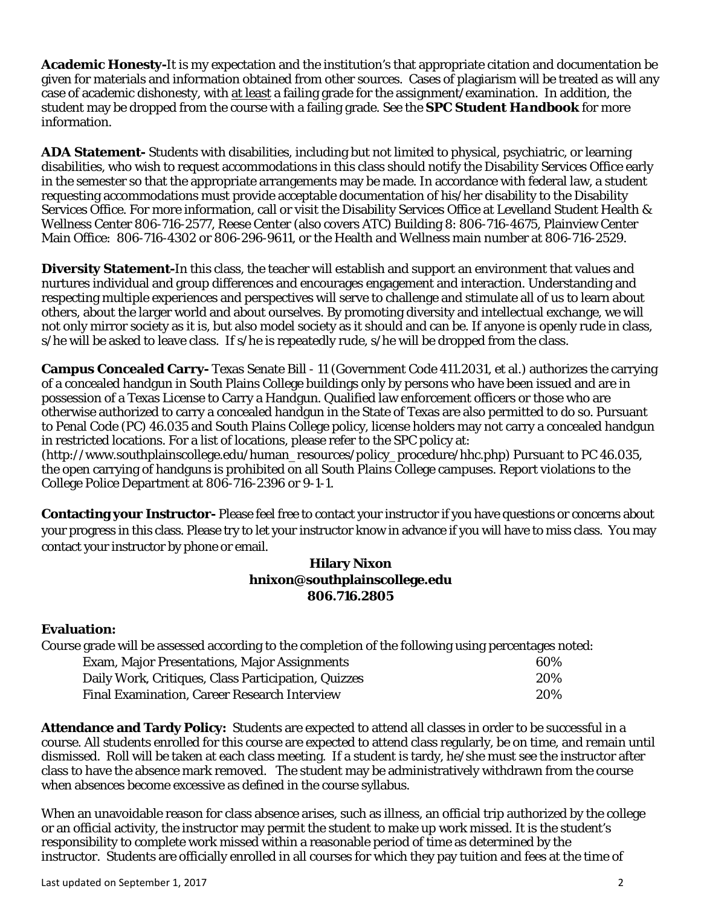**Academic Honesty-**It is my expectation and the institution's that appropriate citation and documentation be given for materials and information obtained from other sources. Cases of plagiarism will be treated as will any case of academic dishonesty, with at least a failing grade for the assignment/examination. In addition, the student may be dropped from the course with a failing grade. See the *SPC Student Handbook* for more information.

**ADA Statement-** Students with disabilities, including but not limited to physical, psychiatric, or learning disabilities, who wish to request accommodations in this class should notify the Disability Services Office early in the semester so that the appropriate arrangements may be made. In accordance with federal law, a student requesting accommodations must provide acceptable documentation of his/her disability to the Disability Services Office. For more information, call or visit the Disability Services Office at Levelland Student Health & Wellness Center 806-716-2577, Reese Center (also covers ATC) Building 8: 806-716-4675, Plainview Center Main Office: 806-716-4302 or 806-296-9611, or the Health and Wellness main number at 806-716-2529.

**Diversity Statement-**In this class, the teacher will establish and support an environment that values and nurtures individual and group differences and encourages engagement and interaction. Understanding and respecting multiple experiences and perspectives will serve to challenge and stimulate all of us to learn about others, about the larger world and about ourselves. By promoting diversity and intellectual exchange, we will not only mirror society as it is, but also model society as it should and can be. If anyone is openly rude in class, s/he will be asked to leave class. If s/he is repeatedly rude, s/he will be dropped from the class.

**Campus Concealed Carry-** Texas Senate Bill - 11 (Government Code 411.2031, et al.) authorizes the carrying of a concealed handgun in South Plains College buildings only by persons who have been issued and are in possession of a Texas License to Carry a Handgun. Qualified law enforcement officers or those who are otherwise authorized to carry a concealed handgun in the State of Texas are also permitted to do so. Pursuant to Penal Code (PC) 46.035 and South Plains College policy, license holders may not carry a concealed handgun in restricted locations. For a list of locations, please refer to the SPC policy at: (http://www.southplainscollege.edu/human\_resources/policy\_procedure/hhc.php) Pursuant to PC 46.035, the open carrying of handguns is prohibited on all South Plains College campuses. Report violations to the College Police Department at 806-716-2396 or 9-1-1.

**Contacting your Instructor-** Please feel free to contact your instructor if you have questions or concerns about your progress in this class. Please try to let your instructor know in advance if you will have to miss class. You may contact your instructor by phone or email.

### **Hilary Nixon hnixon@southplainscollege.edu 806.716.2805**

### **Evaluation:**

Course grade will be assessed according to the completion of the following using percentages noted:

| <b>Exam, Major Presentations, Major Assignments</b> | 60% |
|-----------------------------------------------------|-----|
| Daily Work, Critiques, Class Participation, Quizzes | 20% |
| Final Examination, Career Research Interview        | 20% |

**Attendance and Tardy Policy:** Students are expected to attend all classes in order to be successful in a course. All students enrolled for this course are expected to attend class regularly, be on time, and remain until dismissed. Roll will be taken at each class meeting. If a student is tardy, he/she must see the instructor after class to have the absence mark removed. The student may be administratively withdrawn from the course when absences become excessive as defined in the course syllabus.

When an unavoidable reason for class absence arises, such as illness, an official trip authorized by the college or an official activity, the instructor may permit the student to make up work missed. It is the student's responsibility to complete work missed within a reasonable period of time as determined by the instructor. Students are officially enrolled in all courses for which they pay tuition and fees at the time of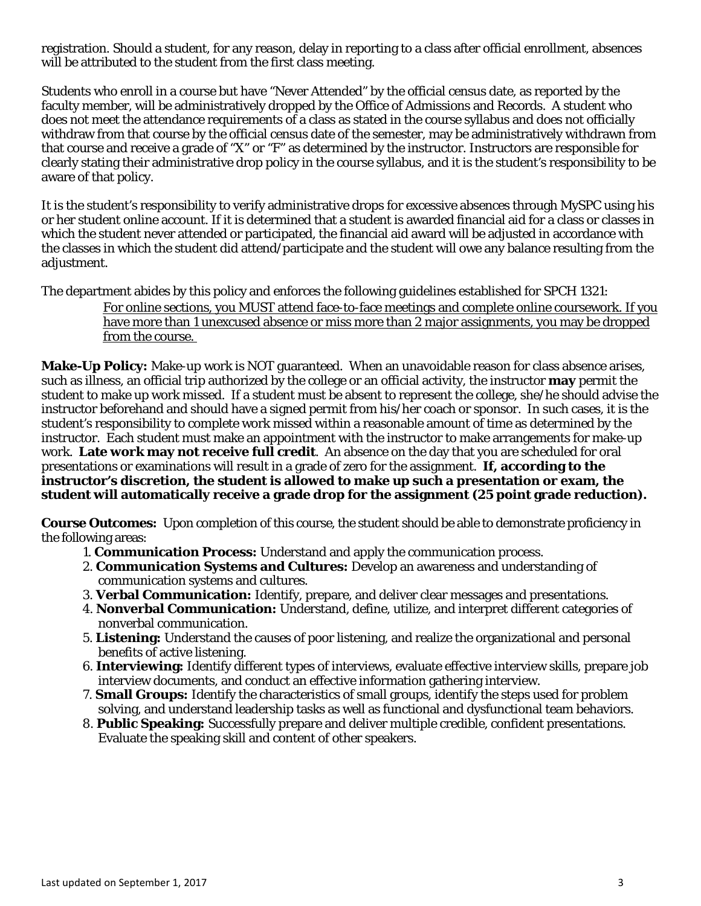registration. Should a student, for any reason, delay in reporting to a class after official enrollment, absences will be attributed to the student from the first class meeting.

Students who enroll in a course but have "Never Attended" by the official census date, as reported by the faculty member, will be administratively dropped by the Office of Admissions and Records. A student who does not meet the attendance requirements of a class as stated in the course syllabus and does not officially withdraw from that course by the official census date of the semester, may be administratively withdrawn from that course and receive a grade of "X" or "F" as determined by the instructor. Instructors are responsible for clearly stating their administrative drop policy in the course syllabus, and it is the student's responsibility to be aware of that policy.

It is the student's responsibility to verify administrative drops for excessive absences through MySPC using his or her student online account. If it is determined that a student is awarded financial aid for a class or classes in which the student never attended or participated, the financial aid award will be adjusted in accordance with the classes in which the student did attend/participate and the student will owe any balance resulting from the adjustment.

The department abides by this policy and enforces the following guidelines established for SPCH 1321:

For online sections, you MUST attend face-to-face meetings and complete online coursework. If you have more than 1 unexcused absence or miss more than 2 major assignments, you may be dropped from the course.

**Make-Up Policy:** Make-up work is NOT guaranteed. When an unavoidable reason for class absence arises, such as illness, an official trip authorized by the college or an official activity, the instructor **may** permit the student to make up work missed. If a student must be absent to represent the college, she/he should advise the instructor beforehand and should have a signed permit from his/her coach or sponsor. In such cases, it is the student's responsibility to complete work missed within a reasonable amount of time as determined by the instructor. Each student must make an appointment with the instructor to make arrangements for make-up work. **Late work may not receive full credit**. An absence on the day that you are scheduled for oral presentations or examinations will result in a grade of zero for the assignment. **If, according to the instructor's discretion, the student is allowed to make up such a presentation or exam, the student will automatically receive a grade drop for the assignment (25 point grade reduction).**

**Course Outcomes:** Upon completion of this course, the student should be able to demonstrate proficiency in the following areas:

- 1. **Communication Process:** Understand and apply the communication process.
- 2. **Communication Systems and Cultures:** Develop an awareness and understanding of communication systems and cultures.
- 3. **Verbal Communication:** Identify, prepare, and deliver clear messages and presentations.
- 4. **Nonverbal Communication:** Understand, define, utilize, and interpret different categories of nonverbal communication.
- 5. **Listening:** Understand the causes of poor listening, and realize the organizational and personal benefits of active listening.
- 6. **Interviewing:** Identify different types of interviews, evaluate effective interview skills, prepare job interview documents, and conduct an effective information gathering interview.
- 7. **Small Groups:** Identify the characteristics of small groups, identify the steps used for problem solving, and understand leadership tasks as well as functional and dysfunctional team behaviors.
- 8. **Public Speaking:** Successfully prepare and deliver multiple credible, confident presentations. Evaluate the speaking skill and content of other speakers.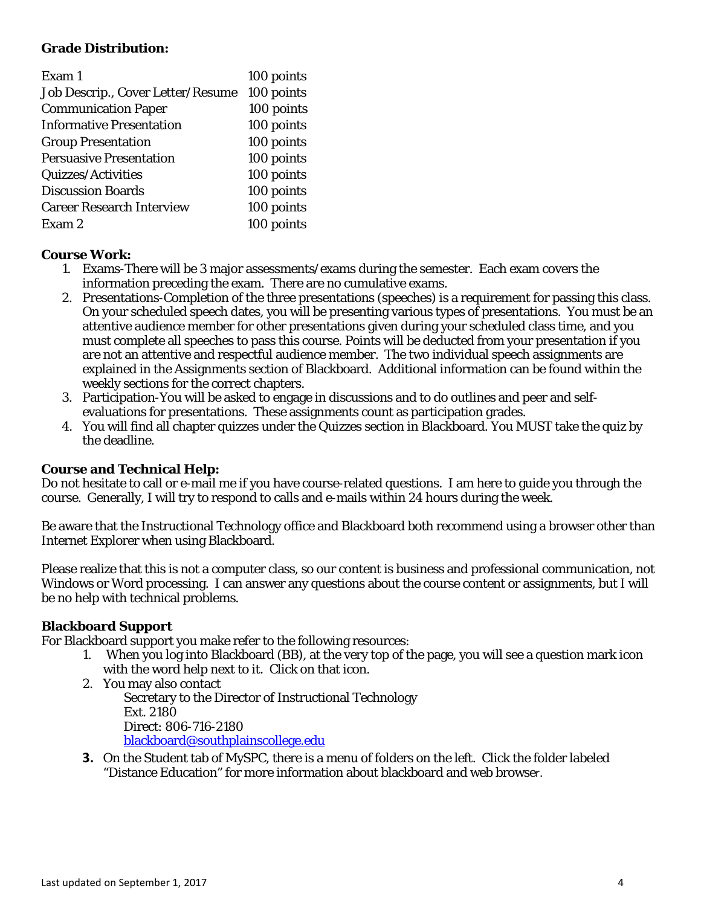#### **Grade Distribution:**

| Exam 1                            | 100 points |
|-----------------------------------|------------|
| Job Descrip., Cover Letter/Resume | 100 points |
| <b>Communication Paper</b>        | 100 points |
| <b>Informative Presentation</b>   | 100 points |
| <b>Group Presentation</b>         | 100 points |
| <b>Persuasive Presentation</b>    | 100 points |
| Quizzes/Activities                | 100 points |
| <b>Discussion Boards</b>          | 100 points |
| <b>Career Research Interview</b>  | 100 points |
| Exam 2                            | 100 points |

#### **Course Work:**

- 1. Exams-There will be 3 major assessments/exams during the semester. Each exam covers the information preceding the exam. There are no cumulative exams.
- 2. Presentations-Completion of the three presentations (speeches) is a requirement for passing this class. On your scheduled speech dates, you will be presenting various types of presentations. You must be an attentive audience member for other presentations given during your scheduled class time, and you must complete all speeches to pass this course. Points will be deducted from your presentation if you are not an attentive and respectful audience member. The two individual speech assignments are explained in the Assignments section of Blackboard. Additional information can be found within the weekly sections for the correct chapters.
- 3. Participation-You will be asked to engage in discussions and to do outlines and peer and selfevaluations for presentations. These assignments count as participation grades.
- 4. You will find all chapter quizzes under the Quizzes section in Blackboard. You MUST take the quiz by the deadline.

### **Course and Technical Help:**

Do not hesitate to call or e-mail me if you have course-related questions. I am here to guide you through the course. Generally, I will try to respond to calls and e-mails within 24 hours during the week.

Be aware that the Instructional Technology office and Blackboard both recommend using a browser other than Internet Explorer when using Blackboard.

Please realize that this is not a computer class, so our content is business and professional communication, not Windows or Word processing. I can answer any questions about the course content or assignments, but I will be no help with technical problems.

#### **Blackboard Support**

For Blackboard support you make refer to the following resources:

- 1. When you log into Blackboard (BB), at the very top of the page, you will see a question mark icon with the word help next to it. Click on that icon.
- 2. You may also contact Secretary to the Director of Instructional Technology Ext. 2180 Direct: 806-716-2180 [blackboard@southplainscollege.edu](mailto:jetucker@southplainscollege.edu)
- **3.** On the Student tab of MySPC, there is a menu of folders on the left. Click the folder labeled "Distance Education" for more information about blackboard and web browser.